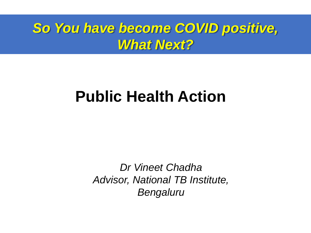## *So You have become COVID positive, What Next?*

# **Public Health Action**

*Dr Vineet Chadha Advisor, National TB Institute, Bengaluru*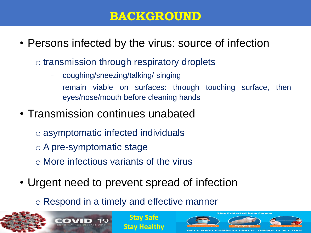#### **BACKGROUND**

- Persons infected by the virus: source of infection
	- o transmission through respiratory droplets
		- coughing/sneezing/talking/ singing
		- remain viable on surfaces: through touching surface, then eyes/nose/mouth before cleaning hands
- Transmission continues unabated
	- o asymptomatic infected individuals
	- o A pre-symptomatic stage
	- o More infectious variants of the virus
- Urgent need to prevent spread of infection
	- o Respond in a timely and effective manner

**Stay Safe**



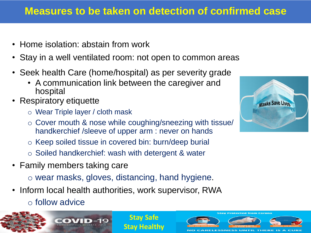#### **Measures to be taken on detection of confirmed case**

- Home isolation: abstain from work
- Stay in a well ventilated room: not open to common areas
- Seek health Care (home/hospital) as per severity grade
	- A communication link between the caregiver and hospital
- Respiratory etiquette
	- o Wear Triple layer / cloth mask
	- o Cover mouth & nose while coughing/sneezing with tissue/ handkerchief /sleeve of upper arm : never on hands
	- o Keep soiled tissue in covered bin: burn/deep burial
	- o Soiled handkerchief: wash with detergent & water
- Family members taking care
	- o wear masks, gloves, distancing, hand hygiene.

**Stay Safe**

- Inform local health authorities, work supervisor, RWA
	- o follow advice





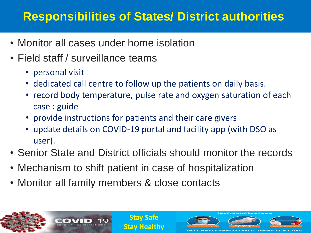#### **Responsibilities of States/ District authorities**

- Monitor all cases under home isolation
- Field staff / surveillance teams
	- personal visit
	- dedicated call centre to follow up the patients on daily basis.
	- record body temperature, pulse rate and oxygen saturation of each case : guide
	- provide instructions for patients and their care givers
	- update details on COVID-19 portal and facility app (with DSO as user).
- Senior State and District officials should monitor the records
- Mechanism to shift patient in case of hospitalization
- Monitor all family members & close contacts

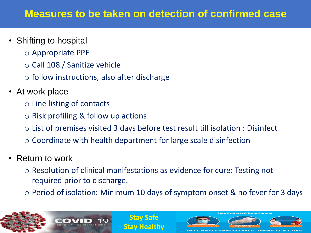- Shifting to hospital
	- o Appropriate PPE
	- o Call 108 / Sanitize vehicle
	- $\circ$  follow instructions, also after discharge
- At work place
	- o Line listing of contacts
	- $\circ$  Risk profiling & follow up actions
	- o List of premises visited 3 days before test result till isolation : Disinfect
	- $\circ$  Coordinate with health department for large scale disinfection
- Return to work
	- o Resolution of clinical manifestations as evidence for cure: Testing not required prior to discharge.

**Stay Safe**

**Stay Healthy**

o Period of isolation: Minimum 10 days of symptom onset & no fever for 3 days

RELESSNESS

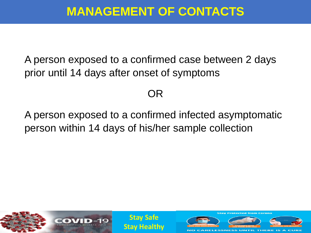### **MANAGEMENT OF CONTACTS**

A person exposed to a confirmed case between 2 days prior until 14 days after onset of symptoms

#### OR

A person exposed to a confirmed infected asymptomatic person within 14 days of his/her sample collection

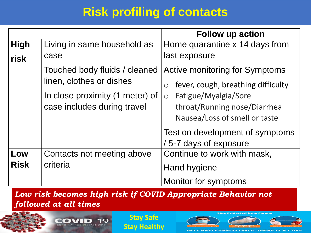## **Risk profiling of contacts**

|             |                                 | <b>Follow up action</b>                          |
|-------------|---------------------------------|--------------------------------------------------|
| <b>High</b> | Living in same household as     | Home quarantine x 14 days from                   |
| risk        | case                            | last exposure                                    |
|             | Touched body fluids / cleaned   | <b>Active monitoring for Symptoms</b>            |
|             | linen, clothes or dishes        | fever, cough, breathing difficulty<br>$\bigcirc$ |
|             | In close proximity (1 meter) of | Fatigue/Myalgia/Sore<br>$\circ$                  |
|             | case includes during travel     | throat/Running nose/Diarrhea                     |
|             |                                 | Nausea/Loss of smell or taste                    |
|             |                                 | Test on development of symptoms                  |
|             |                                 | /5-7 days of exposure                            |
| Low         | Contacts not meeting above      | Continue to work with mask,                      |
| <b>Risk</b> | criteria                        | Hand hygiene                                     |
|             |                                 | Monitor for symptoms                             |

*Low risk becomes high risk if COVID Appropriate Behavior not followed at all times*



COVID-19 CORONAVIRUS DISEASE



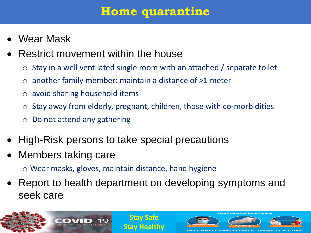#### **Home quarantine**

- Wear Mask
- Restrict movement within the house
	- $\circ$  Stay in a well ventilated single room with an attached / separate toilet
	- $\circ$  another family member: maintain a distance of  $>1$  meter
	- o avoid sharing household items
	- $\circ$  Stay away from elderly, pregnant, children, those with co-morbidities
	- $\circ$  Do not attend any gathering
- High-Risk persons to take special precautions
- Members taking care
	- o Wear masks, gloves, maintain distance, hand hygiene
- Report to health department on developing symptoms and seek care

**Stay Safe**

**Stay Protected from Corona** 

**RELESSNESS** 

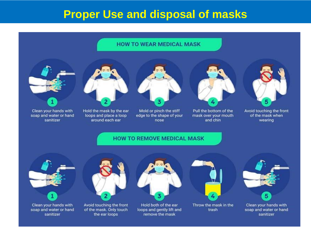#### **Proper Use and disposal of masks**

#### **HOW TO WEAR MEDICAL MASK**





Clean your hands with soap and water or hand sanitizer

Hold the mask by the ear loops and place a loop around each ear



Mold or pinch the stiff edge to the shape of your nose



Pull the bottom of the mask over your mouth and chin



Avoid touching the front of the mask when wearing

#### **HOW TO REMOVE MEDICAL MASK**



Clean your hands with soap and water or hand sanitizer



Avoid touching the front of the mask. Only touch the ear loops



Hold both of the ear loops and gently lift and remove the mask



Throw the mask in the trash



Clean your hands with soap and water or hand sanitizer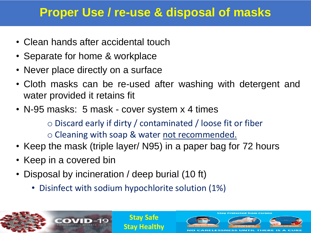### **Proper Use / re-use & disposal of masks**

- Clean hands after accidental touch
- Separate for home & workplace
- Never place directly on a surface
- Cloth masks can be re-used after washing with detergent and water provided it retains fit
- N-95 masks: 5 mask cover system x 4 times
	- o Discard early if dirty / contaminated / loose fit or fiber
	- o Cleaning with soap & water not recommended.

**Stay Safe**

**Stay Healthy**

ECCNIECO

- Keep the mask (triple layer/ N95) in a paper bag for 72 hours
- Keep in a covered bin
- Disposal by incineration / deep burial (10 ft)
	- Disinfect with sodium hypochlorite solution (1%)

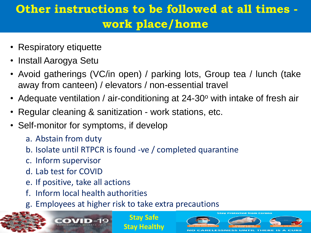## **Other instructions to be followed at all times work place/home**

- Respiratory etiquette
- Install Aarogya Setu
- Avoid gatherings (VC/in open) / parking lots, Group tea / lunch (take away from canteen) / elevators / non-essential travel
- Adequate ventilation / air-conditioning at 24-30 $\degree$  with intake of fresh air
- Regular cleaning & sanitization work stations, etc.
- Self-monitor for symptoms, if develop
	- a. Abstain from duty
	- b. Isolate until RTPCR is found -ve / completed quarantine
	- c. Inform supervisor
	- d. Lab test for COVID
	- e. If positive, take all actions
	- f. Inform local health authorities
	- g. Employees at higher risk to take extra precautions

**Stay Safe**

tay Protected from Corona

ARELESSNESS UNTIL THERE IS A

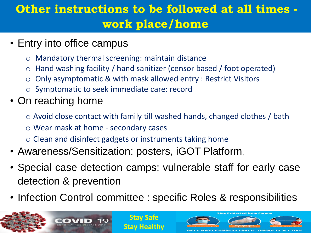## **Other instructions to be followed at all times work place/home**

- Entry into office campus
	- o Mandatory thermal screening: maintain distance
	- $\circ$  Hand washing facility / hand sanitizer (censor based / foot operated)
	- o Only asymptomatic & with mask allowed entry : Restrict Visitors
	- o Symptomatic to seek immediate care: record
- On reaching home
	- o Avoid close contact with family till washed hands, changed clothes / bath
	- o Wear mask at home secondary cases
	- $\circ$  Clean and disinfect gadgets or instruments taking home
- Awareness/Sensitization: posters, iGOT Platform,
- Special case detection camps: vulnerable staff for early case detection & prevention
- Infection Control committee : specific Roles & responsibilities

**LESSNESS UNTIL** 

**Stay Safe**